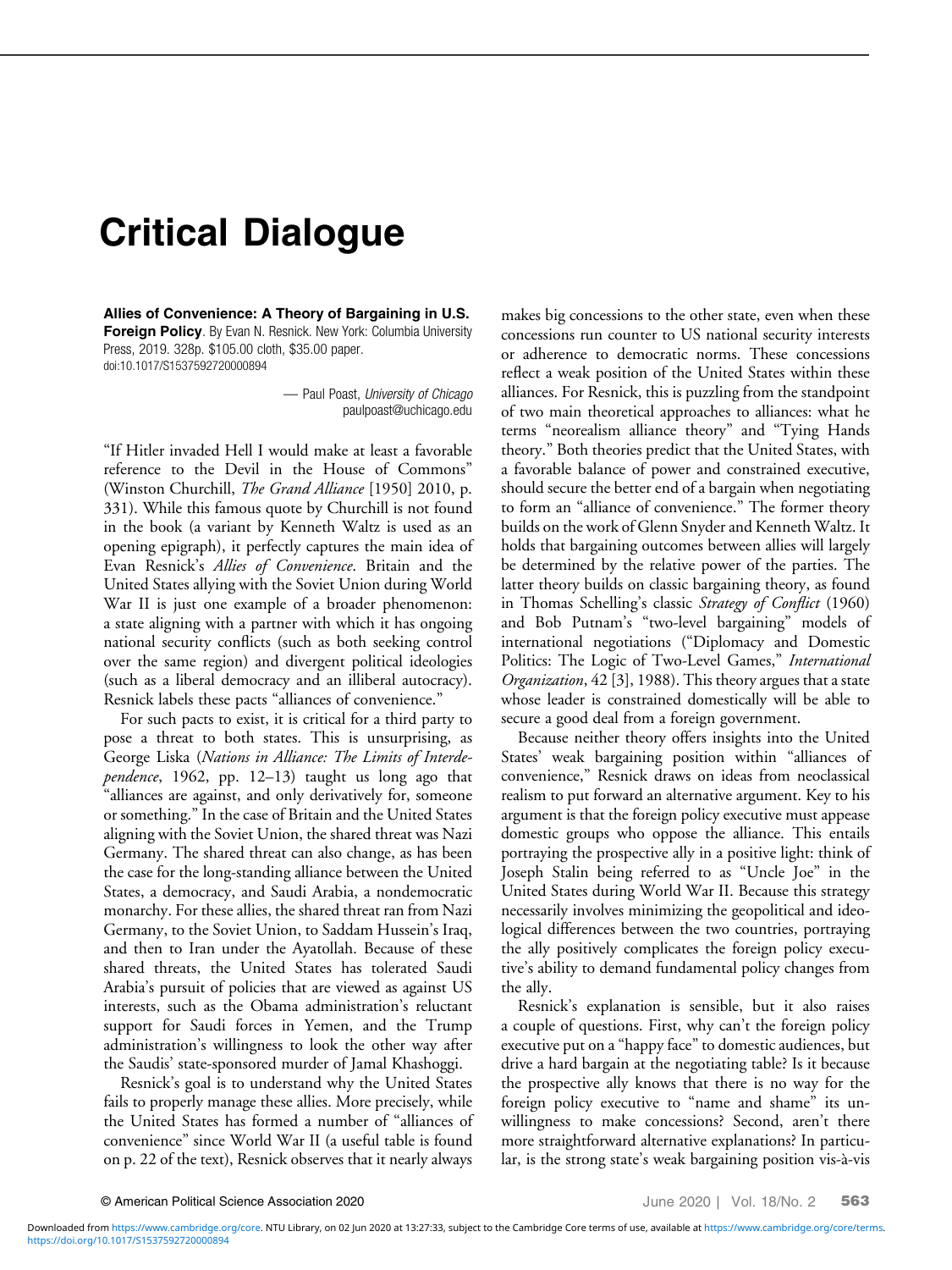# Critical Dialogue

Allies of Convenience: A Theory of Bargaining in U.S. Foreign Policy. By Evan N. Resnick. New York: Columbia University Press, 2019. 328p. \$105.00 cloth, \$35.00 paper. doi:10.1017/S1537592720000894

> — Paul Poast, University of Chicago pa[ulpoast@uchicago.edu](mailto:paulpoast@uchicago.edu)

"If Hitler invaded Hell I would make at least a favorable reference to the Devil in the House of Commons" (Winston Churchill, The Grand Alliance [1950] 2010, p. 331). While this famous quote by Churchill is not found in the book (a variant by Kenneth Waltz is used as an opening epigraph), it perfectly captures the main idea of Evan Resnick's Allies of Convenience. Britain and the United States allying with the Soviet Union during World War II is just one example of a broader phenomenon: a state aligning with a partner with which it has ongoing national security conflicts (such as both seeking control over the same region) and divergent political ideologies (such as a liberal democracy and an illiberal autocracy). Resnick labels these pacts "alliances of convenience."

For such pacts to exist, it is critical for a third party to pose a threat to both states. This is unsurprising, as George Liska (Nations in Alliance: The Limits of Interdependence, 1962, pp. 12–13) taught us long ago that "alliances are against, and only derivatively for, someone or something." In the case of Britain and the United States aligning with the Soviet Union, the shared threat was Nazi Germany. The shared threat can also change, as has been the case for the long-standing alliance between the United States, a democracy, and Saudi Arabia, a nondemocratic monarchy. For these allies, the shared threat ran from Nazi Germany, to the Soviet Union, to Saddam Hussein's Iraq, and then to Iran under the Ayatollah. Because of these shared threats, the United States has tolerated Saudi Arabia's pursuit of policies that are viewed as against US interests, such as the Obama administration's reluctant support for Saudi forces in Yemen, and the Trump administration's willingness to look the other way after the Saudis' state-sponsored murder of Jamal Khashoggi.

Resnick's goal is to understand why the United States fails to properly manage these allies. More precisely, while the United States has formed a number of "alliances of convenience" since World War II (a useful table is found on p. 22 of the text), Resnick observes that it nearly always

makes big concessions to the other state, even when these concessions run counter to US national security interests or adherence to democratic norms. These concessions reflect a weak position of the United States within these alliances. For Resnick, this is puzzling from the standpoint of two main theoretical approaches to alliances: what he terms "neorealism alliance theory" and "Tying Hands theory." Both theories predict that the United States, with a favorable balance of power and constrained executive, should secure the better end of a bargain when negotiating to form an "alliance of convenience." The former theory builds on the work of Glenn Snyder and Kenneth Waltz. It holds that bargaining outcomes between allies will largely be determined by the relative power of the parties. The latter theory builds on classic bargaining theory, as found in Thomas Schelling's classic Strategy of Conflict (1960) and Bob Putnam's "two-level bargaining" models of international negotiations ("Diplomacy and Domestic Politics: The Logic of Two-Level Games," International Organization, 42 [3], 1988). This theory argues that a state whose leader is constrained domestically will be able to secure a good deal from a foreign government.

Because neither theory offers insights into the United States' weak bargaining position within "alliances of convenience," Resnick draws on ideas from neoclassical realism to put forward an alternative argument. Key to his argument is that the foreign policy executive must appease domestic groups who oppose the alliance. This entails portraying the prospective ally in a positive light: think of Joseph Stalin being referred to as "Uncle Joe" in the United States during World War II. Because this strategy necessarily involves minimizing the geopolitical and ideological differences between the two countries, portraying the ally positively complicates the foreign policy executive's ability to demand fundamental policy changes from the ally.

Resnick's explanation is sensible, but it also raises a couple of questions. First, why can't the foreign policy executive put on a "happy face" to domestic audiences, but drive a hard bargain at the negotiating table? Is it because the prospective ally knows that there is no way for the foreign policy executive to "name and shame" its unwillingness to make concessions? Second, aren't there more straightforward alternative explanations? In particular, is the strong state's weak bargaining position vis-à-vis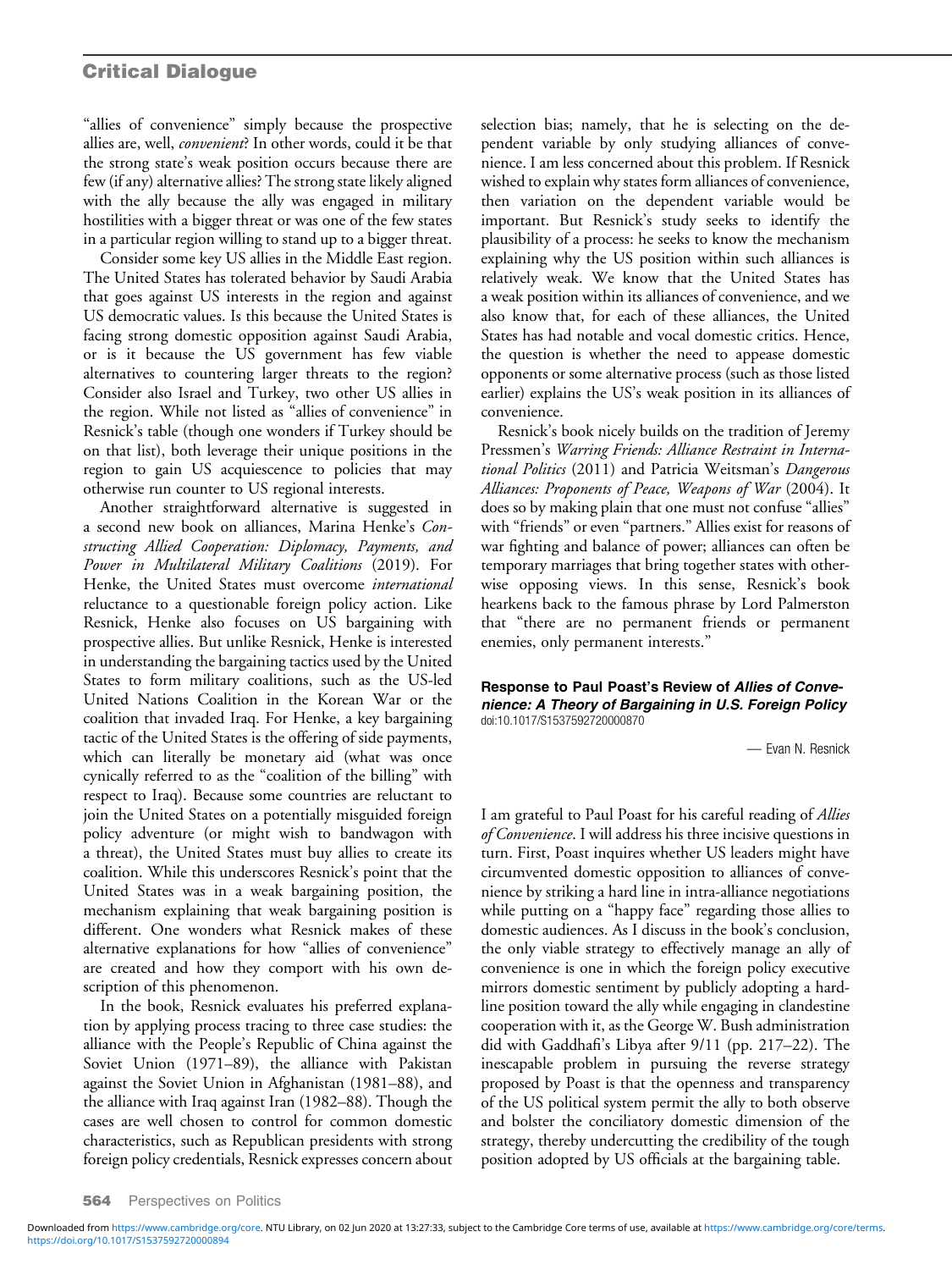## Critical Dialogue

"allies of convenience" simply because the prospective allies are, well, convenient? In other words, could it be that the strong state's weak position occurs because there are few (if any) alternative allies? The strong state likely aligned with the ally because the ally was engaged in military hostilities with a bigger threat or was one of the few states in a particular region willing to stand up to a bigger threat.

Consider some key US allies in the Middle East region. The United States has tolerated behavior by Saudi Arabia that goes against US interests in the region and against US democratic values. Is this because the United States is facing strong domestic opposition against Saudi Arabia, or is it because the US government has few viable alternatives to countering larger threats to the region? Consider also Israel and Turkey, two other US allies in the region. While not listed as "allies of convenience" in Resnick's table (though one wonders if Turkey should be on that list), both leverage their unique positions in the region to gain US acquiescence to policies that may otherwise run counter to US regional interests.

Another straightforward alternative is suggested in a second new book on alliances, Marina Henke's Constructing Allied Cooperation: Diplomacy, Payments, and Power in Multilateral Military Coalitions (2019). For Henke, the United States must overcome international reluctance to a questionable foreign policy action. Like Resnick, Henke also focuses on US bargaining with prospective allies. But unlike Resnick, Henke is interested in understanding the bargaining tactics used by the United States to form military coalitions, such as the US-led United Nations Coalition in the Korean War or the coalition that invaded Iraq. For Henke, a key bargaining tactic of the United States is the offering of side payments, which can literally be monetary aid (what was once cynically referred to as the "coalition of the billing" with respect to Iraq). Because some countries are reluctant to join the United States on a potentially misguided foreign policy adventure (or might wish to bandwagon with a threat), the United States must buy allies to create its coalition. While this underscores Resnick's point that the United States was in a weak bargaining position, the mechanism explaining that weak bargaining position is different. One wonders what Resnick makes of these alternative explanations for how "allies of convenience" are created and how they comport with his own description of this phenomenon.

In the book, Resnick evaluates his preferred explanation by applying process tracing to three case studies: the alliance with the People's Republic of China against the Soviet Union (1971–89), the alliance with Pakistan against the Soviet Union in Afghanistan (1981–88), and the alliance with Iraq against Iran (1982–88). Though the cases are well chosen to control for common domestic characteristics, such as Republican presidents with strong foreign policy credentials, Resnick expresses concern about

selection bias; namely, that he is selecting on the dependent variable by only studying alliances of convenience. I am less concerned about this problem. If Resnick wished to explain why states form alliances of convenience, then variation on the dependent variable would be important. But Resnick's study seeks to identify the plausibility of a process: he seeks to know the mechanism explaining why the US position within such alliances is relatively weak. We know that the United States has a weak position within its alliances of convenience, and we also know that, for each of these alliances, the United States has had notable and vocal domestic critics. Hence, the question is whether the need to appease domestic opponents or some alternative process (such as those listed earlier) explains the US's weak position in its alliances of convenience.

Resnick's book nicely builds on the tradition of Jeremy Pressmen's Warring Friends: Alliance Restraint in International Politics (2011) and Patricia Weitsman's Dangerous Alliances: Proponents of Peace, Weapons of War (2004). It does so by making plain that one must not confuse "allies" with "friends" or even "partners." Allies exist for reasons of war fighting and balance of power; alliances can often be temporary marriages that bring together states with otherwise opposing views. In this sense, Resnick's book hearkens back to the famous phrase by Lord Palmerston that "there are no permanent friends or permanent enemies, only permanent interests."

Response to Paul Poast's Review of Allies of Convenience: A Theory of Bargaining in U.S. Foreign Policy doi:10.1017/S1537592720000870

— Evan N. Resnick

I am grateful to Paul Poast for his careful reading of Allies of Convenience. I will address his three incisive questions in turn. First, Poast inquires whether US leaders might have circumvented domestic opposition to alliances of convenience by striking a hard line in intra-alliance negotiations while putting on a "happy face" regarding those allies to domestic audiences. As I discuss in the book's conclusion, the only viable strategy to effectively manage an ally of convenience is one in which the foreign policy executive mirrors domestic sentiment by publicly adopting a hardline position toward the ally while engaging in clandestine cooperation with it, as the George W. Bush administration did with Gaddhafi's Libya after 9/11 (pp. 217–22). The inescapable problem in pursuing the reverse strategy proposed by Poast is that the openness and transparency of the US political system permit the ally to both observe and bolster the conciliatory domestic dimension of the strategy, thereby undercutting the credibility of the tough position adopted by US officials at the bargaining table.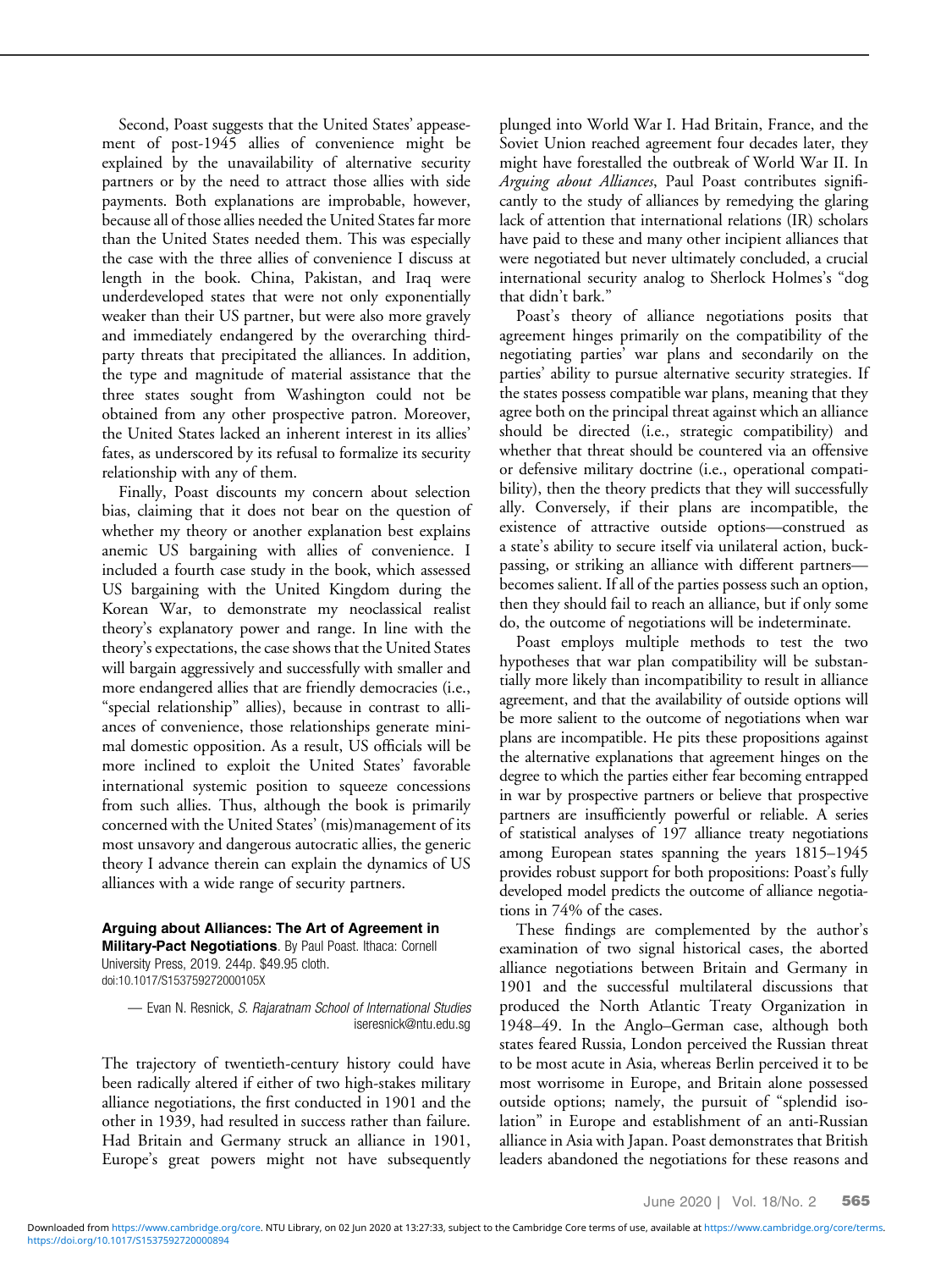Second, Poast suggests that the United States' appeasement of post-1945 allies of convenience might be explained by the unavailability of alternative security partners or by the need to attract those allies with side payments. Both explanations are improbable, however, because all of those allies needed the United States far more than the United States needed them. This was especially the case with the three allies of convenience I discuss at length in the book. China, Pakistan, and Iraq were underdeveloped states that were not only exponentially weaker than their US partner, but were also more gravely and immediately endangered by the overarching thirdparty threats that precipitated the alliances. In addition, the type and magnitude of material assistance that the three states sought from Washington could not be obtained from any other prospective patron. Moreover, the United States lacked an inherent interest in its allies' fates, as underscored by its refusal to formalize its security relationship with any of them.

Finally, Poast discounts my concern about selection bias, claiming that it does not bear on the question of whether my theory or another explanation best explains anemic US bargaining with allies of convenience. I included a fourth case study in the book, which assessed US bargaining with the United Kingdom during the Korean War, to demonstrate my neoclassical realist theory's explanatory power and range. In line with the theory's expectations, the case shows that the United States will bargain aggressively and successfully with smaller and more endangered allies that are friendly democracies (i.e., "special relationship" allies), because in contrast to alliances of convenience, those relationships generate minimal domestic opposition. As a result, US officials will be more inclined to exploit the United States' favorable international systemic position to squeeze concessions from such allies. Thus, although the book is primarily concerned with the United States' (mis)management of its most unsavory and dangerous autocratic allies, the generic theory I advance therein can explain the dynamics of US alliances with a wide range of security partners.

#### Arguing about Alliances: The Art of Agreement in

Military-Pact Negotiations. By Paul Poast. Ithaca: Cornell University Press, 2019. 244p. \$49.95 cloth. doi:10.1017/S153759272000105X

— Evan N. Resnick, S. Rajaratnam School of International Studies iser[esnick@ntu.edu.sg](mailto:iseresnick@ntu.edu.sg)

The trajectory of twentieth-century history could have been radically altered if either of two high-stakes military alliance negotiations, the first conducted in 1901 and the other in 1939, had resulted in success rather than failure. Had Britain and Germany struck an alliance in 1901, Europe's great powers might not have subsequently

plunged into World War I. Had Britain, France, and the Soviet Union reached agreement four decades later, they might have forestalled the outbreak of World War II. In Arguing about Alliances, Paul Poast contributes significantly to the study of alliances by remedying the glaring lack of attention that international relations (IR) scholars have paid to these and many other incipient alliances that were negotiated but never ultimately concluded, a crucial international security analog to Sherlock Holmes's "dog that didn't bark."

Poast's theory of alliance negotiations posits that agreement hinges primarily on the compatibility of the negotiating parties' war plans and secondarily on the parties' ability to pursue alternative security strategies. If the states possess compatible war plans, meaning that they agree both on the principal threat against which an alliance should be directed (i.e., strategic compatibility) and whether that threat should be countered via an offensive or defensive military doctrine (i.e., operational compatibility), then the theory predicts that they will successfully ally. Conversely, if their plans are incompatible, the existence of attractive outside options—construed as a state's ability to secure itself via unilateral action, buckpassing, or striking an alliance with different partners becomes salient. If all of the parties possess such an option, then they should fail to reach an alliance, but if only some do, the outcome of negotiations will be indeterminate.

Poast employs multiple methods to test the two hypotheses that war plan compatibility will be substantially more likely than incompatibility to result in alliance agreement, and that the availability of outside options will be more salient to the outcome of negotiations when war plans are incompatible. He pits these propositions against the alternative explanations that agreement hinges on the degree to which the parties either fear becoming entrapped in war by prospective partners or believe that prospective partners are insufficiently powerful or reliable. A series of statistical analyses of 197 alliance treaty negotiations among European states spanning the years 1815–1945 provides robust support for both propositions: Poast's fully developed model predicts the outcome of alliance negotiations in 74% of the cases.

These findings are complemented by the author's examination of two signal historical cases, the aborted alliance negotiations between Britain and Germany in 1901 and the successful multilateral discussions that produced the North Atlantic Treaty Organization in 1948–49. In the Anglo–German case, although both states feared Russia, London perceived the Russian threat to be most acute in Asia, whereas Berlin perceived it to be most worrisome in Europe, and Britain alone possessed outside options; namely, the pursuit of "splendid isolation" in Europe and establishment of an anti-Russian alliance in Asia with Japan. Poast demonstrates that British leaders abandoned the negotiations for these reasons and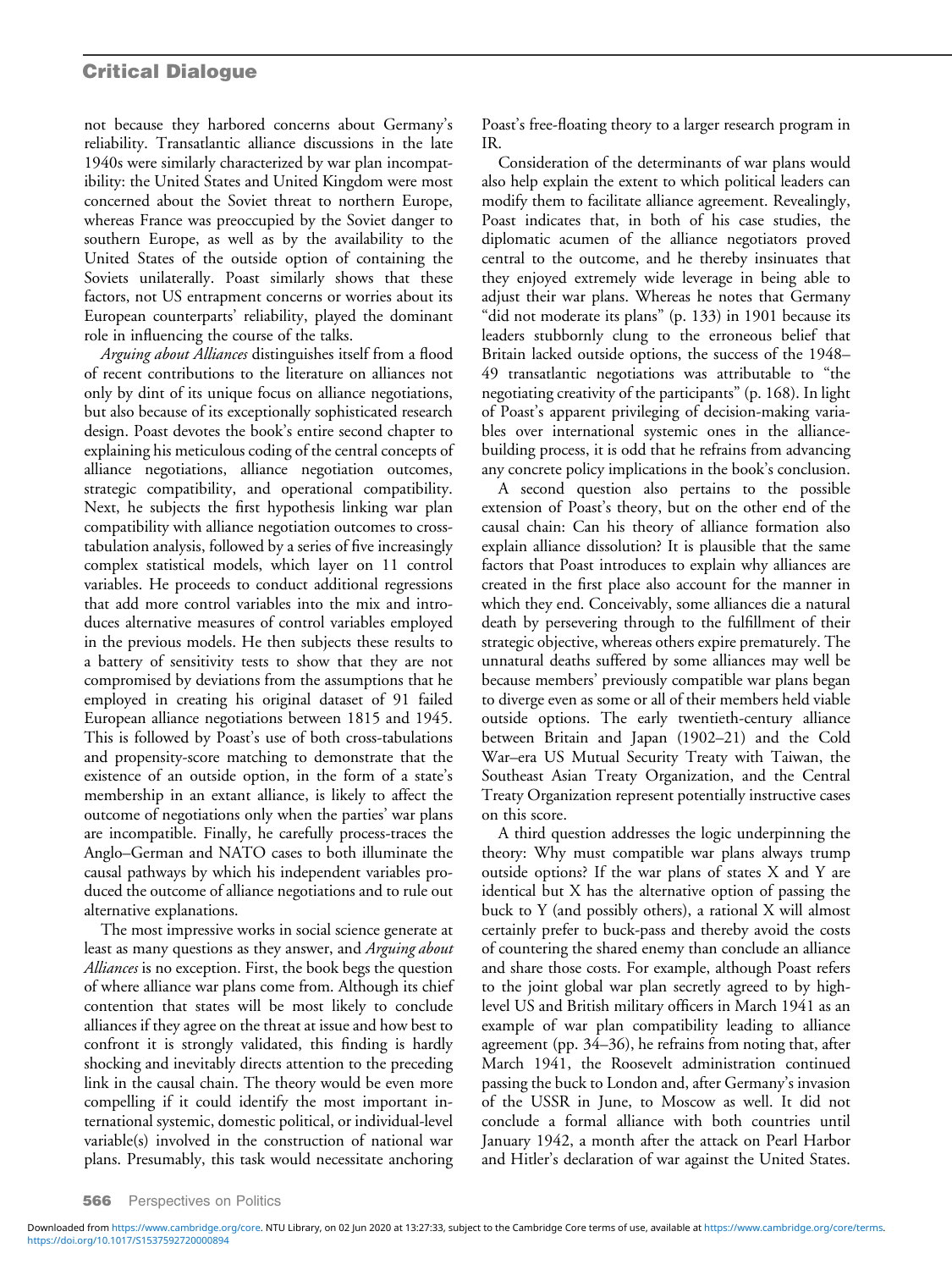# Critical Dialogue

not because they harbored concerns about Germany's reliability. Transatlantic alliance discussions in the late 1940s were similarly characterized by war plan incompatibility: the United States and United Kingdom were most concerned about the Soviet threat to northern Europe, whereas France was preoccupied by the Soviet danger to southern Europe, as well as by the availability to the United States of the outside option of containing the Soviets unilaterally. Poast similarly shows that these factors, not US entrapment concerns or worries about its European counterparts' reliability, played the dominant role in influencing the course of the talks.

Arguing about Alliances distinguishes itself from a flood of recent contributions to the literature on alliances not only by dint of its unique focus on alliance negotiations, but also because of its exceptionally sophisticated research design. Poast devotes the book's entire second chapter to explaining his meticulous coding of the central concepts of alliance negotiations, alliance negotiation outcomes, strategic compatibility, and operational compatibility. Next, he subjects the first hypothesis linking war plan compatibility with alliance negotiation outcomes to crosstabulation analysis, followed by a series of five increasingly complex statistical models, which layer on 11 control variables. He proceeds to conduct additional regressions that add more control variables into the mix and introduces alternative measures of control variables employed in the previous models. He then subjects these results to a battery of sensitivity tests to show that they are not compromised by deviations from the assumptions that he employed in creating his original dataset of 91 failed European alliance negotiations between 1815 and 1945. This is followed by Poast's use of both cross-tabulations and propensity-score matching to demonstrate that the existence of an outside option, in the form of a state's membership in an extant alliance, is likely to affect the outcome of negotiations only when the parties' war plans are incompatible. Finally, he carefully process-traces the Anglo–German and NATO cases to both illuminate the causal pathways by which his independent variables produced the outcome of alliance negotiations and to rule out alternative explanations.

The most impressive works in social science generate at least as many questions as they answer, and *Arguing about* Alliances is no exception. First, the book begs the question of where alliance war plans come from. Although its chief contention that states will be most likely to conclude alliances if they agree on the threat at issue and how best to confront it is strongly validated, this finding is hardly shocking and inevitably directs attention to the preceding link in the causal chain. The theory would be even more compelling if it could identify the most important international systemic, domestic political, or individual-level variable(s) involved in the construction of national war plans. Presumably, this task would necessitate anchoring

Poast's free-floating theory to a larger research program in IR.

Consideration of the determinants of war plans would also help explain the extent to which political leaders can modify them to facilitate alliance agreement. Revealingly, Poast indicates that, in both of his case studies, the diplomatic acumen of the alliance negotiators proved central to the outcome, and he thereby insinuates that they enjoyed extremely wide leverage in being able to adjust their war plans. Whereas he notes that Germany "did not moderate its plans" (p. 133) in 1901 because its leaders stubbornly clung to the erroneous belief that Britain lacked outside options, the success of the 1948– 49 transatlantic negotiations was attributable to "the negotiating creativity of the participants" (p. 168). In light of Poast's apparent privileging of decision-making variables over international systemic ones in the alliancebuilding process, it is odd that he refrains from advancing any concrete policy implications in the book's conclusion.

A second question also pertains to the possible extension of Poast's theory, but on the other end of the causal chain: Can his theory of alliance formation also explain alliance dissolution? It is plausible that the same factors that Poast introduces to explain why alliances are created in the first place also account for the manner in which they end. Conceivably, some alliances die a natural death by persevering through to the fulfillment of their strategic objective, whereas others expire prematurely. The unnatural deaths suffered by some alliances may well be because members' previously compatible war plans began to diverge even as some or all of their members held viable outside options. The early twentieth-century alliance between Britain and Japan (1902–21) and the Cold War–era US Mutual Security Treaty with Taiwan, the Southeast Asian Treaty Organization, and the Central Treaty Organization represent potentially instructive cases on this score.

A third question addresses the logic underpinning the theory: Why must compatible war plans always trump outside options? If the war plans of states X and Y are identical but X has the alternative option of passing the buck to Y (and possibly others), a rational X will almost certainly prefer to buck-pass and thereby avoid the costs of countering the shared enemy than conclude an alliance and share those costs. For example, although Poast refers to the joint global war plan secretly agreed to by highlevel US and British military officers in March 1941 as an example of war plan compatibility leading to alliance agreement (pp. 34–36), he refrains from noting that, after March 1941, the Roosevelt administration continued passing the buck to London and, after Germany's invasion of the USSR in June, to Moscow as well. It did not conclude a formal alliance with both countries until January 1942, a month after the attack on Pearl Harbor and Hitler's declaration of war against the United States.